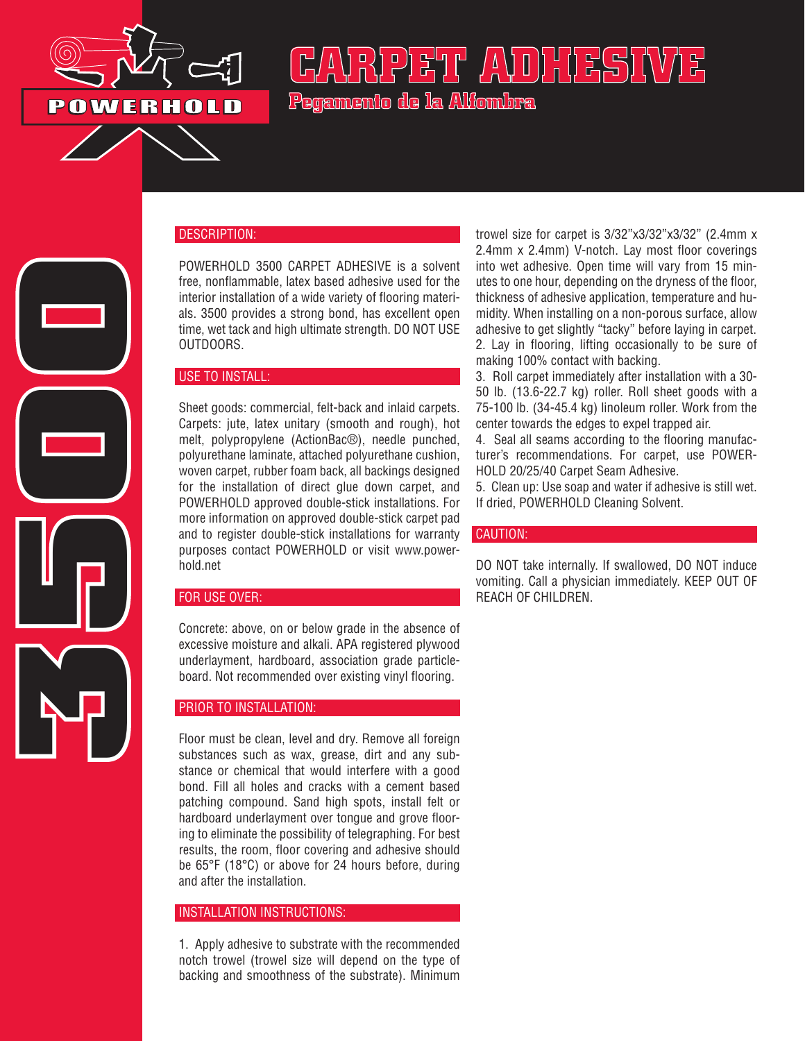

**3500**

# **CARPET ADHESIVE Pegamento de la Alfombra**

## DESCRIPTION:

POWERHOLD 3500 CARPET ADHESIVE is a solvent free, nonflammable, latex based adhesive used for the interior installation of a wide variety of flooring materials. 3500 provides a strong bond, has excellent open time, wet tack and high ultimate strength. DO NOT USE OUTDOORS.

#### USE TO INSTALL:

Sheet goods: commercial, felt-back and inlaid carpets. Carpets: jute, latex unitary (smooth and rough), hot melt, polypropylene (ActionBac®), needle punched, polyurethane laminate, attached polyurethane cushion, woven carpet, rubber foam back, all backings designed for the installation of direct glue down carpet, and POWERHOLD approved double-stick installations. For more information on approved double-stick carpet pad and to register double-stick installations for warranty purposes contact POWERHOLD or visit www.powerhold.net

## FOR USE OVER:

Concrete: above, on or below grade in the absence of excessive moisture and alkali. APA registered plywood underlayment, hardboard, association grade particleboard. Not recommended over existing vinyl flooring.

## PRIOR TO INSTALLATION:

Floor must be clean, level and dry. Remove all foreign substances such as wax, grease, dirt and any substance or chemical that would interfere with a good bond. Fill all holes and cracks with a cement based patching compound. Sand high spots, install felt or hardboard underlayment over tongue and grove flooring to eliminate the possibility of telegraphing. For best results, the room, floor covering and adhesive should be 65°F (18°C) or above for 24 hours before, during and after the installation.

#### INSTALLATION INSTRUCTIONS:

1. Apply adhesive to substrate with the recommended notch trowel (trowel size will depend on the type of backing and smoothness of the substrate). Minimum trowel size for carpet is 3/32"x3/32"x3/32" (2.4mm x 2.4mm x 2.4mm) V-notch. Lay most floor coverings into wet adhesive. Open time will vary from 15 minutes to one hour, depending on the dryness of the floor, thickness of adhesive application, temperature and humidity. When installing on a non-porous surface, allow adhesive to get slightly "tacky" before laying in carpet. 2. Lay in flooring, lifting occasionally to be sure of making 100% contact with backing.

3. Roll carpet immediately after installation with a 30- 50 lb. (13.6-22.7 kg) roller. Roll sheet goods with a 75-100 lb. (34-45.4 kg) linoleum roller. Work from the center towards the edges to expel trapped air.

4. Seal all seams according to the flooring manufacturer's recommendations. For carpet, use POWER-HOLD 20/25/40 Carpet Seam Adhesive.

5. Clean up: Use soap and water if adhesive is still wet. If dried, POWERHOLD Cleaning Solvent.

#### CAUTION:

DO NOT take internally. If swallowed, DO NOT induce vomiting. Call a physician immediately. KEEP OUT OF REACH OF CHILDREN.